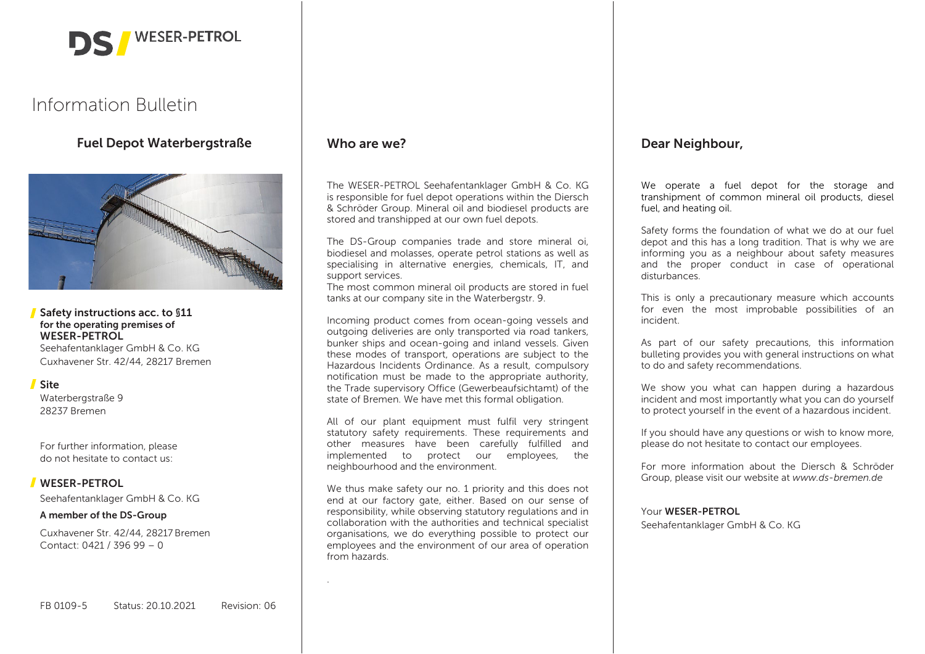

# Information Bulletin

Fuel Depot Waterbergstraße



# Safety instructions acc. to §11 for the operating premises of WESER-PETROL

Seehafentanklager GmbH & Co. KG Cuxhavener Str. 42/44, 28217 Bremen

# Site

Waterbergstraße 9 28237 Bremen

For further information, please do not hesitate to contact us:

# WESER-PETROL

Seehafentanklager GmbH & Co. KG

# A member of the DS-Group

Cuxhavener Str. 42/44, 28217 Bremen Contact: 0421 / 396 99 – 0

# Who are we?

.

The WESER-PETROL Seehafentanklager GmbH & Co. KG is responsible for fuel depot operations within the Diersch & Schröder Group. Mineral oil and biodiesel products are stored and transhipped at our own fuel depots.

The DS-Group companies trade and store mineral oi, biodiesel and molasses, operate petrol stations as well as specialising in alternative energies, chemicals, IT, and support services.

The most common mineral oil products are stored in fuel tanks at our company site in the Waterbergstr. 9.

Incoming product comes from ocean-going vessels and outgoing deliveries are only transported via road tankers, bunker ships and ocean-going and inland vessels. Given these modes of transport, operations are subject to the Hazardous Incidents Ordinance. As a result, compulsory notification must be made to the appropriate authority, the Trade supervisory Office (Gewerbeaufsichtamt) of the state of Bremen. We have met this formal obligation.

All of our plant equipment must fulfil very stringent statutory safety requirements. These requirements and other measures have been carefully fulfilled and implemented to protect our employees, the neighbourhood and the environment.

We thus make safety our no. 1 priority and this does not end at our factory gate, either. Based on our sense of responsibility, while observing statutory regulations and in collaboration with the authorities and technical specialist organisations, we do everything possible to protect our employees and the environment of our area of operation from hazards.

# Dear Neighbour,

We operate a fuel depot for the storage and transhipment of common mineral oil products, diesel fuel, and heating oil.

Safety forms the foundation of what we do at our fuel depot and this has a long tradition. That is why we are informing you as a neighbour about safety measures and the proper conduct in case of operational disturbances.

This is only a precautionary measure which accounts for even the most improbable possibilities of an incident.

As part of our safety precautions, this information bulleting provides you with general instructions on what to do and safety recommendations.

We show you what can happen during a hazardous incident and most importantly what you can do yourself to protect yourself in the event of a hazardous incident.

If you should have any questions or wish to know more, please do not hesitate to contact our employees.

For more information about the Diersch & Schröder Group, please visit our website at *www.ds-bremen.de*

#### Your WESER-PETROL

Seehafentanklager GmbH & Co. KG